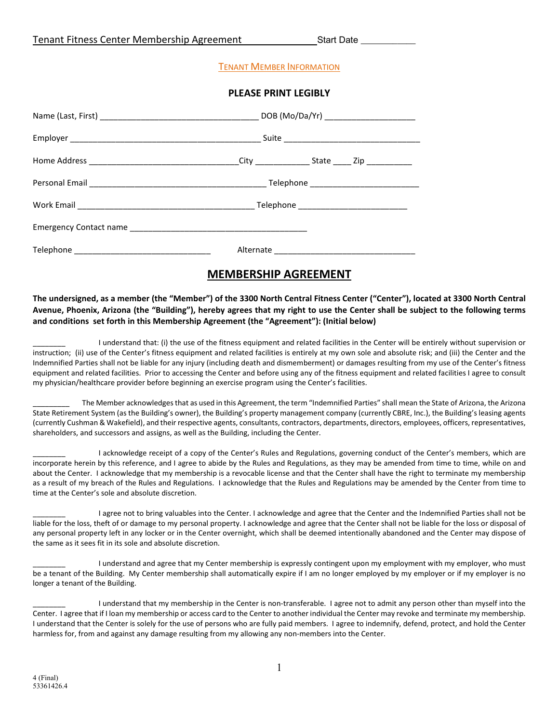|  | Tenant Fitness Center Membership Agreement | <b>Start Date</b> |
|--|--------------------------------------------|-------------------|
|--|--------------------------------------------|-------------------|

### TENANT MEMBER INFORMATION

#### **PLEASE PRINT LEGIBLY**

# **MEMBERSHIP AGREEMENT**

**The undersigned, as a member (the "Member") of the 3300 North Central Fitness Center ("Center"), located at 3300 North Central Avenue, Phoenix, Arizona (the "Building"), hereby agrees that my right to use the Center shall be subject to the following terms and conditions set forth in this Membership Agreement (the "Agreement"): (Initial below)**

I understand that: (i) the use of the fitness equipment and related facilities in the Center will be entirely without supervision or instruction; (ii) use of the Center's fitness equipment and related facilities is entirely at my own sole and absolute risk; and (iii) the Center and the Indemnified Parties shall not be liable for any injury (including death and dismemberment) or damages resulting from my use of the Center's fitness equipment and related facilities. Prior to accessing the Center and before using any of the fitness equipment and related facilities I agree to consult my physician/healthcare provider before beginning an exercise program using the Center's facilities.

The Member acknowledges that as used in this Agreement, the term "Indemnified Parties" shall mean the State of Arizona, the Arizona State Retirement System (as the Building's owner), the Building's property management company (currently CBRE, Inc.), the Building's leasing agents (currently Cushman & Wakefield), and their respective agents, consultants, contractors, departments, directors, employees, officers, representatives, shareholders, and successors and assigns, as well as the Building, including the Center.

I acknowledge receipt of a copy of the Center's Rules and Regulations, governing conduct of the Center's members, which are incorporate herein by this reference, and I agree to abide by the Rules and Regulations, as they may be amended from time to time, while on and about the Center. I acknowledge that my membership is a revocable license and that the Center shall have the right to terminate my membership as a result of my breach of the Rules and Regulations. I acknowledge that the Rules and Regulations may be amended by the Center from time to time at the Center's sole and absolute discretion.

I agree not to bring valuables into the Center. I acknowledge and agree that the Center and the Indemnified Parties shall not be liable for the loss, theft of or damage to my personal property. I acknowledge and agree that the Center shall not be liable for the loss or disposal of any personal property left in any locker or in the Center overnight, which shall be deemed intentionally abandoned and the Center may dispose of the same as it sees fit in its sole and absolute discretion.

I understand and agree that my Center membership is expressly contingent upon my employment with my employer, who must be a tenant of the Building. My Center membership shall automatically expire if I am no longer employed by my employer or if my employer is no longer a tenant of the Building.

I understand that my membership in the Center is non-transferable. I agree not to admit any person other than myself into the Center. I agree that if I loan my membership or access card to the Center to another individual the Center may revoke and terminate my membership. I understand that the Center is solely for the use of persons who are fully paid members. I agree to indemnify, defend, protect, and hold the Center harmless for, from and against any damage resulting from my allowing any non-members into the Center.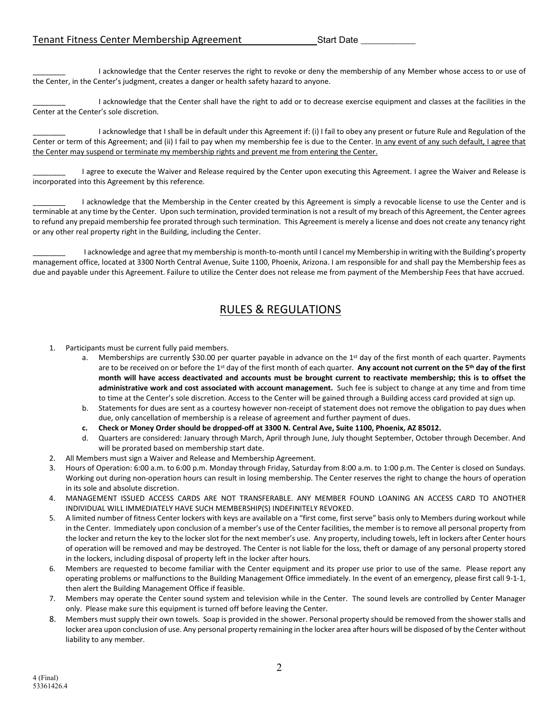I acknowledge that the Center reserves the right to revoke or deny the membership of any Member whose access to or use of the Center, in the Center's judgment, creates a danger or health safety hazard to anyone.

I acknowledge that the Center shall have the right to add or to decrease exercise equipment and classes at the facilities in the Center at the Center's sole discretion.

I acknowledge that I shall be in default under this Agreement if: (i) I fail to obey any present or future Rule and Regulation of the Center or term of this Agreement; and (ii) I fail to pay when my membership fee is due to the Center. In any event of any such default, I agree that the Center may suspend or terminate my membership rights and prevent me from entering the Center.

I agree to execute the Waiver and Release required by the Center upon executing this Agreement. I agree the Waiver and Release is incorporated into this Agreement by this reference.

I acknowledge that the Membership in the Center created by this Agreement is simply a revocable license to use the Center and is terminable at any time by the Center. Upon such termination, provided termination is not a result of my breach of this Agreement, the Center agrees to refund any prepaid membership fee prorated through such termination. This Agreement is merely a license and does not create any tenancy right or any other real property right in the Building, including the Center.

I acknowledge and agree that my membership is month-to-month until I cancel my Membership in writing with the Building's property management office, located at 3300 North Central Avenue, Suite 1100, Phoenix, Arizona. I am responsible for and shall pay the Membership fees as due and payable under this Agreement. Failure to utilize the Center does not release me from payment of the Membership Fees that have accrued.

# RULES & REGULATIONS

- 1. Participants must be current fully paid members.
	- a. Memberships are currently \$30.00 per quarter payable in advance on the 1st day of the first month of each quarter. Payments are to be received on or before the 1st day of the first month of each quarter. **Any account not current on the 5th day of the first month will have access deactivated and accounts must be brought current to reactivate membership; this is to offset the administrative work and cost associated with account management.** Such fee is subject to change at any time and from time to time at the Center's sole discretion. Access to the Center will be gained through a Building access card provided at sign up.
	- b. Statements for dues are sent as a courtesy however non-receipt of statement does not remove the obligation to pay dues when due, only cancellation of membership is a release of agreement and further payment of dues.
	- **c. Check or Money Order should be dropped-off at 3300 N. Central Ave, Suite 1100, Phoenix, AZ 85012.**
	- Quarters are considered: January through March, April through June, July thought September, October through December. And will be prorated based on membership start date.
- 2. All Members must sign a Waiver and Release and Membership Agreement.
- 3. Hours of Operation: 6:00 a.m. to 6:00 p.m. Monday through Friday, Saturday from 8:00 a.m. to 1:00 p.m. The Center is closed on Sundays. Working out during non-operation hours can result in losing membership. The Center reserves the right to change the hours of operation in its sole and absolute discretion.
- 4. MANAGEMENT ISSUED ACCESS CARDS ARE NOT TRANSFERABLE. ANY MEMBER FOUND LOANING AN ACCESS CARD TO ANOTHER INDIVIDUAL WILL IMMEDIATELY HAVE SUCH MEMBERSHIP(S) INDEFINITELY REVOKED.
- 5. A limited number of fitness Center lockers with keys are available on a "first come, first serve" basis only to Members during workout while in the Center. Immediately upon conclusion of a member's use of the Center facilities, the member is to remove all personal property from the locker and return the key to the locker slot for the next member's use. Any property, including towels, left in lockers after Center hours of operation will be removed and may be destroyed. The Center is not liable for the loss, theft or damage of any personal property stored in the lockers, including disposal of property left in the locker after hours.
- 6. Members are requested to become familiar with the Center equipment and its proper use prior to use of the same. Please report any operating problems or malfunctions to the Building Management Office immediately. In the event of an emergency, please first call 9-1-1, then alert the Building Management Office if feasible.
- 7. Members may operate the Center sound system and television while in the Center. The sound levels are controlled by Center Manager only. Please make sure this equipment is turned off before leaving the Center.
- 8. Members must supply their own towels. Soap is provided in the shower. Personal property should be removed from the shower stalls and locker area upon conclusion of use. Any personal property remaining in the locker area after hours will be disposed of by the Center without liability to any member.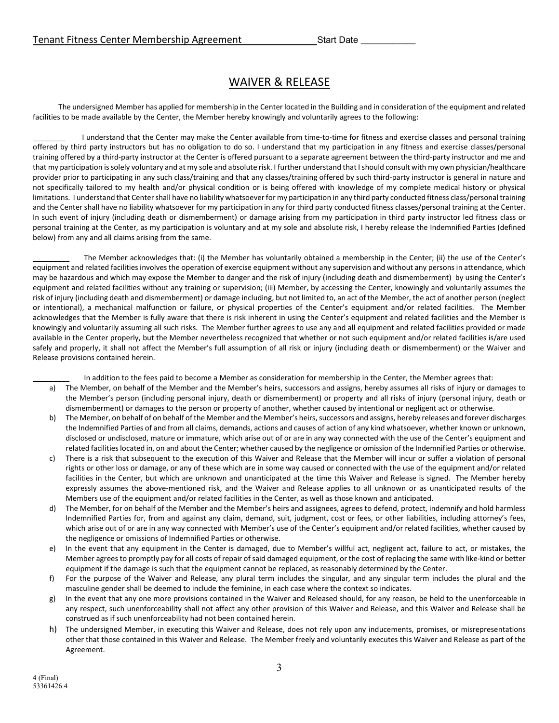## WAIVER & RELEASE

The undersigned Member has applied for membership in the Center located in the Building and in consideration of the equipment and related facilities to be made available by the Center, the Member hereby knowingly and voluntarily agrees to the following:

I understand that the Center may make the Center available from time-to-time for fitness and exercise classes and personal training offered by third party instructors but has no obligation to do so. I understand that my participation in any fitness and exercise classes/personal training offered by a third-party instructor at the Center is offered pursuant to a separate agreement between the third-party instructor and me and that my participation is solely voluntary and at my sole and absolute risk. I further understand that I should consult with my own physician/healthcare provider prior to participating in any such class/training and that any classes/training offered by such third-party instructor is general in nature and not specifically tailored to my health and/or physical condition or is being offered with knowledge of my complete medical history or physical limitations. I understand that Center shall have no liability whatsoever for my participation in any third party conducted fitness class/personal training and the Center shall have no liability whatsoever for my participation in any for third party conducted fitness classes/personal training at the Center. In such event of injury (including death or dismemberment) or damage arising from my participation in third party instructor led fitness class or personal training at the Center, as my participation is voluntary and at my sole and absolute risk, I hereby release the Indemnified Parties (defined below) from any and all claims arising from the same.

The Member acknowledges that: (i) the Member has voluntarily obtained a membership in the Center; (ii) the use of the Center's equipment and related facilities involves the operation of exercise equipment without any supervision and without any persons in attendance, which may be hazardous and which may expose the Member to danger and the risk of injury (including death and dismemberment) by using the Center's equipment and related facilities without any training or supervision; (iii) Member, by accessing the Center, knowingly and voluntarily assumes the risk of injury (including death and dismemberment) or damage including, but not limited to, an act of the Member, the act of another person (neglect or intentional), a mechanical malfunction or failure, or physical properties of the Center's equipment and/or related facilities. The Member acknowledges that the Member is fully aware that there is risk inherent in using the Center's equipment and related facilities and the Member is knowingly and voluntarily assuming all such risks. The Member further agrees to use any and all equipment and related facilities provided or made available in the Center properly, but the Member nevertheless recognized that whether or not such equipment and/or related facilities is/are used safely and properly, it shall not affect the Member's full assumption of all risk or injury (including death or dismemberment) or the Waiver and Release provisions contained herein.

In addition to the fees paid to become a Member as consideration for membership in the Center, the Member agrees that:

- a) The Member, on behalf of the Member and the Member's heirs, successors and assigns, hereby assumes all risks of injury or damages to the Member's person (including personal injury, death or dismemberment) or property and all risks of injury (personal injury, death or dismemberment) or damages to the person or property of another, whether caused by intentional or negligent act or otherwise.
- b) The Member, on behalf of on behalf of the Member and the Member's heirs, successors and assigns, hereby releases and forever discharges the Indemnified Parties of and from all claims, demands, actions and causes of action of any kind whatsoever, whether known or unknown, disclosed or undisclosed, mature or immature, which arise out of or are in any way connected with the use of the Center's equipment and related facilities located in, on and about the Center; whether caused by the negligence or omission of the Indemnified Parties or otherwise.
- c) There is a risk that subsequent to the execution of this Waiver and Release that the Member will incur or suffer a violation of personal rights or other loss or damage, or any of these which are in some way caused or connected with the use of the equipment and/or related facilities in the Center, but which are unknown and unanticipated at the time this Waiver and Release is signed. The Member hereby expressly assumes the above-mentioned risk, and the Waiver and Release applies to all unknown or as unanticipated results of the Members use of the equipment and/or related facilities in the Center, as well as those known and anticipated.
- The Member, for on behalf of the Member and the Member's heirs and assignees, agrees to defend, protect, indemnify and hold harmless Indemnified Parties for, from and against any claim, demand, suit, judgment, cost or fees, or other liabilities, including attorney's fees, which arise out of or are in any way connected with Member's use of the Center's equipment and/or related facilities, whether caused by the negligence or omissions of Indemnified Parties or otherwise.
- e) In the event that any equipment in the Center is damaged, due to Member's willful act, negligent act, failure to act, or mistakes, the Member agrees to promptly pay for all costs of repair of said damaged equipment, or the cost of replacing the same with like-kind or better equipment if the damage is such that the equipment cannot be replaced, as reasonably determined by the Center.
- f) For the purpose of the Waiver and Release, any plural term includes the singular, and any singular term includes the plural and the masculine gender shall be deemed to include the feminine, in each case where the context so indicates.
- g) In the event that any one more provisions contained in the Waiver and Released should, for any reason, be held to the unenforceable in any respect, such unenforceability shall not affect any other provision of this Waiver and Release, and this Waiver and Release shall be construed as if such unenforceability had not been contained herein.
- h) The undersigned Member, in executing this Waiver and Release, does not rely upon any inducements, promises, or misrepresentations other that those contained in this Waiver and Release. The Member freely and voluntarily executes this Waiver and Release as part of the Agreement.